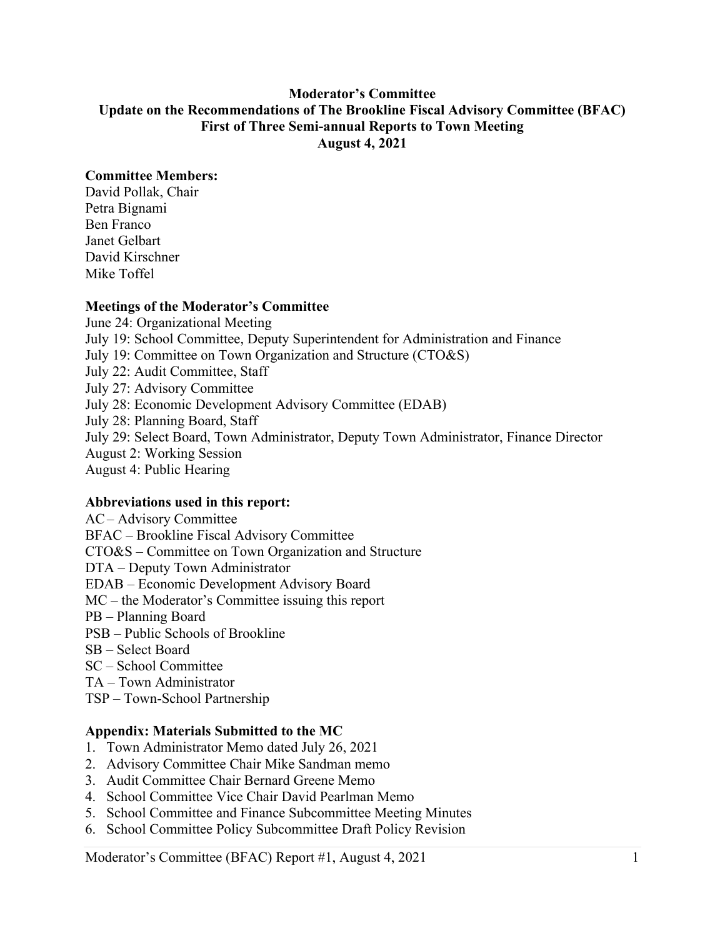### **Moderator's Committee Update on the Recommendations of The Brookline Fiscal Advisory Committee (BFAC) First of Three Semi-annual Reports to Town Meeting August 4, 2021**

### **Committee Members:**

David Pollak, Chair Petra Bignami Ben Franco Janet Gelbart David Kirschner Mike Toffel

#### **Meetings of the Moderator's Committee**

June 24: Organizational Meeting July 19: School Committee, Deputy Superintendent for Administration and Finance July 19: Committee on Town Organization and Structure (CTO&S) July 22: Audit Committee, Staff July 27: Advisory Committee July 28: Economic Development Advisory Committee (EDAB) July 28: Planning Board, Staff July 29: Select Board, Town Administrator, Deputy Town Administrator, Finance Director August 2: Working Session August 4: Public Hearing

#### **Abbreviations used in this report:**

AC– Advisory Committee BFAC – Brookline Fiscal Advisory Committee CTO&S – Committee on Town Organization and Structure DTA – Deputy Town Administrator EDAB – Economic Development Advisory Board MC – the Moderator's Committee issuing this report PB – Planning Board PSB – Public Schools of Brookline SB – Select Board SC – School Committee TA – Town Administrator

TSP – Town-School Partnership

#### **Appendix: Materials Submitted to the MC**

- 1. Town Administrator Memo dated July 26, 2021
- 2. Advisory Committee Chair Mike Sandman memo
- 3. Audit Committee Chair Bernard Greene Memo
- 4. School Committee Vice Chair David Pearlman Memo
- 5. School Committee and Finance Subcommittee Meeting Minutes
- 6. School Committee Policy Subcommittee Draft Policy Revision

Moderator's Committee (BFAC) Report #1, August 4, 2021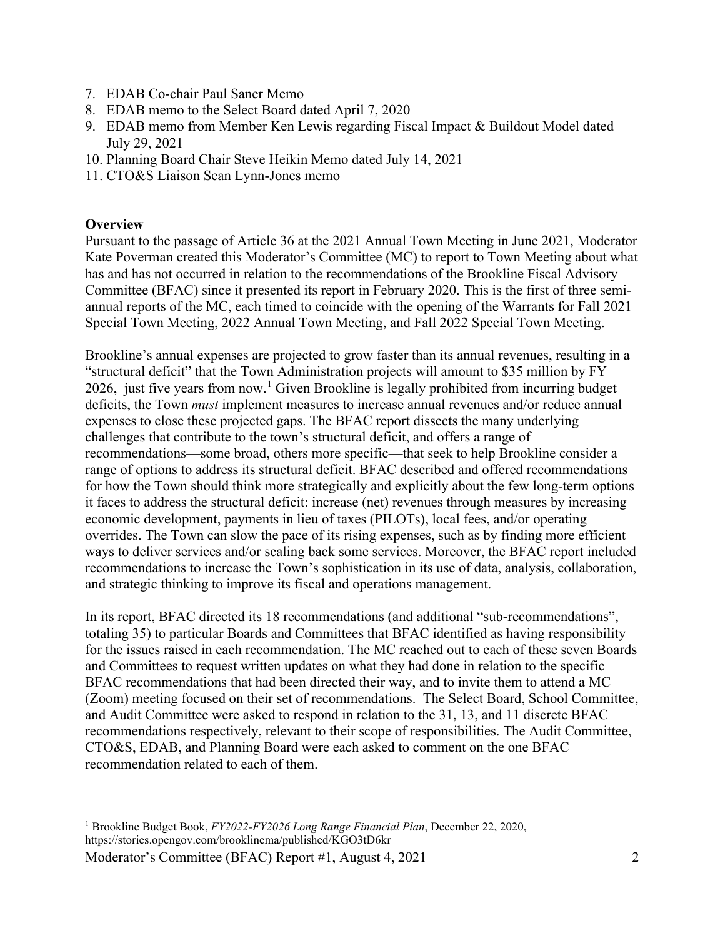- 7. EDAB Co-chair Paul Saner Memo
- 8. EDAB memo to the Select Board dated April 7, 2020
- 9. EDAB memo from Member Ken Lewis regarding Fiscal Impact & Buildout Model dated July 29, 2021
- 10. Planning Board Chair Steve Heikin Memo dated July 14, 2021
- 11. CTO&S Liaison Sean Lynn-Jones memo

### **Overview**

Pursuant to the passage of Article 36 at the 2021 Annual Town Meeting in June 2021, Moderator Kate Poverman created this Moderator's Committee (MC) to report to Town Meeting about what has and has not occurred in relation to the recommendations of the Brookline Fiscal Advisory Committee (BFAC) since it presented its report in February 2020. This is the first of three semiannual reports of the MC, each timed to coincide with the opening of the Warrants for Fall 2021 Special Town Meeting, 2022 Annual Town Meeting, and Fall 2022 Special Town Meeting.

Brookline's annual expenses are projected to grow faster than its annual revenues, resulting in a "structural deficit" that the Town Administration projects will amount to \$35 million by FY 2026, just five years from now.<sup>[1](#page-1-0)</sup> Given Brookline is legally prohibited from incurring budget deficits, the Town *must* implement measures to increase annual revenues and/or reduce annual expenses to close these projected gaps. The BFAC report dissects the many underlying challenges that contribute to the town's structural deficit, and offers a range of recommendations—some broad, others more specific—that seek to help Brookline consider a range of options to address its structural deficit. BFAC described and offered recommendations for how the Town should think more strategically and explicitly about the few long-term options it faces to address the structural deficit: increase (net) revenues through measures by increasing economic development, payments in lieu of taxes (PILOTs), local fees, and/or operating overrides. The Town can slow the pace of its rising expenses, such as by finding more efficient ways to deliver services and/or scaling back some services. Moreover, the BFAC report included recommendations to increase the Town's sophistication in its use of data, analysis, collaboration, and strategic thinking to improve its fiscal and operations management.

In its report, BFAC directed its 18 recommendations (and additional "sub-recommendations", totaling 35) to particular Boards and Committees that BFAC identified as having responsibility for the issues raised in each recommendation. The MC reached out to each of these seven Boards and Committees to request written updates on what they had done in relation to the specific BFAC recommendations that had been directed their way, and to invite them to attend a MC (Zoom) meeting focused on their set of recommendations. The Select Board, School Committee, and Audit Committee were asked to respond in relation to the 31, 13, and 11 discrete BFAC recommendations respectively, relevant to their scope of responsibilities. The Audit Committee, CTO&S, EDAB, and Planning Board were each asked to comment on the one BFAC recommendation related to each of them.

<span id="page-1-0"></span><sup>1</sup> Brookline Budget Book, *FY2022-FY2026 Long Range Financial Plan*, December 22, 2020, https://stories.opengov.com/brooklinema/published/KGO3tD6kr

Moderator's Committee (BFAC) Report #1, August 4, 2021 2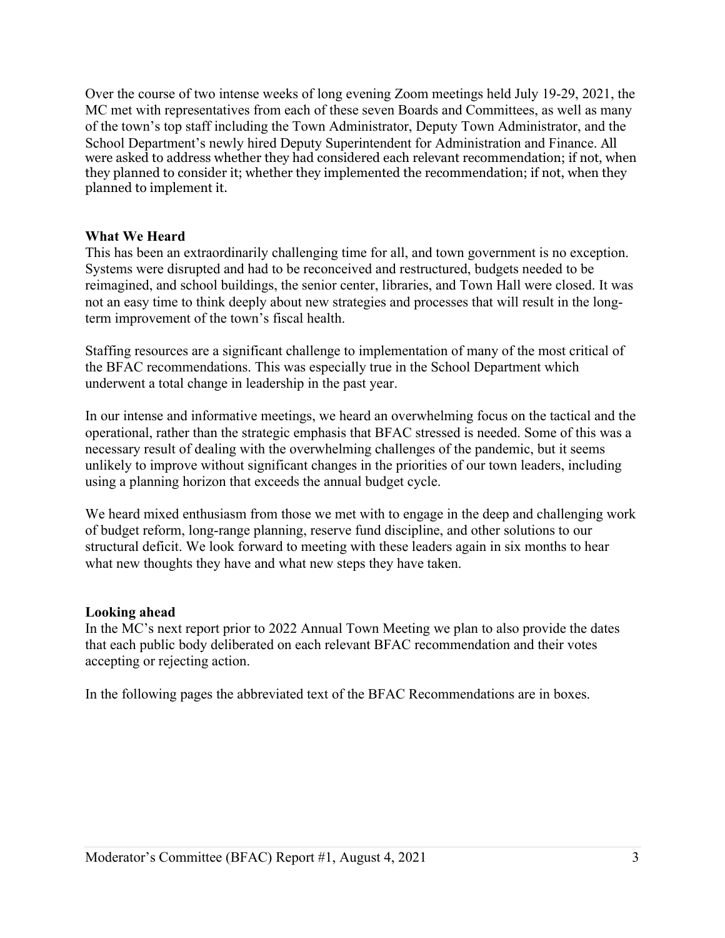Over the course of two intense weeks of long evening Zoom meetings held July 19-29, 2021, the MC met with representatives from each of these seven Boards and Committees, as well as many of the town's top staff including the Town Administrator, Deputy Town Administrator, and the School Department's newly hired Deputy Superintendent for Administration and Finance. All were asked to address whether they had considered each relevant recommendation; if not, when they planned to consider it; whether they implemented the recommendation; if not, when they planned to implement it.

#### **What We Heard**

This has been an extraordinarily challenging time for all, and town government is no exception. Systems were disrupted and had to be reconceived and restructured, budgets needed to be reimagined, and school buildings, the senior center, libraries, and Town Hall were closed. It was not an easy time to think deeply about new strategies and processes that will result in the longterm improvement of the town's fiscal health.

Staffing resources are a significant challenge to implementation of many of the most critical of the BFAC recommendations. This was especially true in the School Department which underwent a total change in leadership in the past year.

In our intense and informative meetings, we heard an overwhelming focus on the tactical and the operational, rather than the strategic emphasis that BFAC stressed is needed. Some of this was a necessary result of dealing with the overwhelming challenges of the pandemic, but it seems unlikely to improve without significant changes in the priorities of our town leaders, including using a planning horizon that exceeds the annual budget cycle.

We heard mixed enthusiasm from those we met with to engage in the deep and challenging work of budget reform, long-range planning, reserve fund discipline, and other solutions to our structural deficit. We look forward to meeting with these leaders again in six months to hear what new thoughts they have and what new steps they have taken.

## **Looking ahead**

In the MC's next report prior to 2022 Annual Town Meeting we plan to also provide the dates that each public body deliberated on each relevant BFAC recommendation and their votes accepting or rejecting action.

In the following pages the abbreviated text of the BFAC Recommendations are in boxes.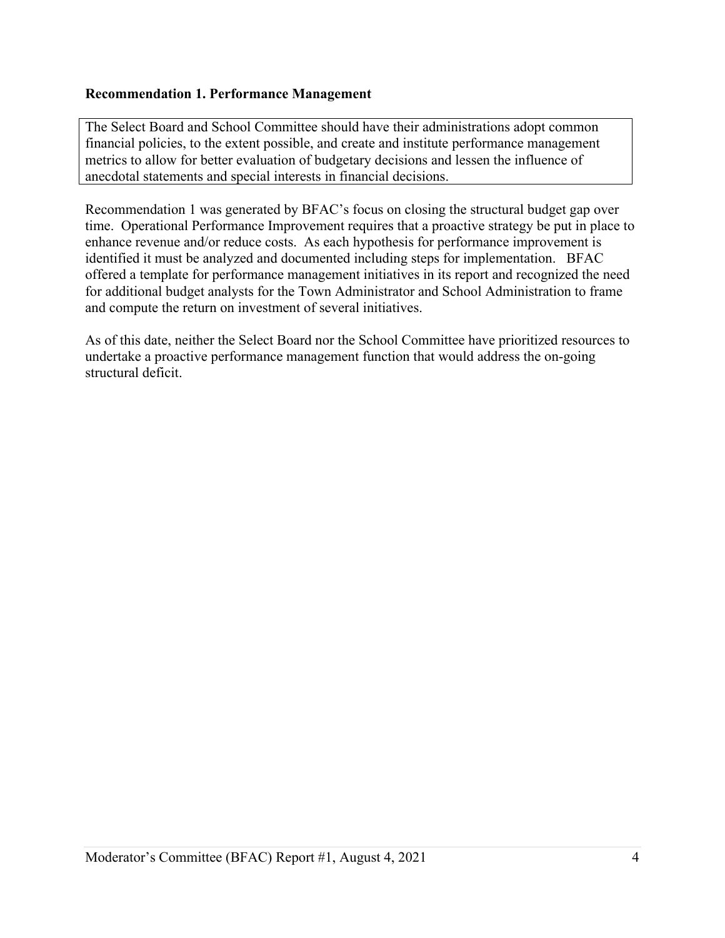### **Recommendation 1. Performance Management**

The Select Board and School Committee should have their administrations adopt common financial policies, to the extent possible, and create and institute performance management metrics to allow for better evaluation of budgetary decisions and lessen the influence of anecdotal statements and special interests in financial decisions.

Recommendation 1 was generated by BFAC's focus on closing the structural budget gap over time. Operational Performance Improvement requires that a proactive strategy be put in place to enhance revenue and/or reduce costs. As each hypothesis for performance improvement is identified it must be analyzed and documented including steps for implementation. BFAC offered a template for performance management initiatives in its report and recognized the need for additional budget analysts for the Town Administrator and School Administration to frame and compute the return on investment of several initiatives.

As of this date, neither the Select Board nor the School Committee have prioritized resources to undertake a proactive performance management function that would address the on-going structural deficit.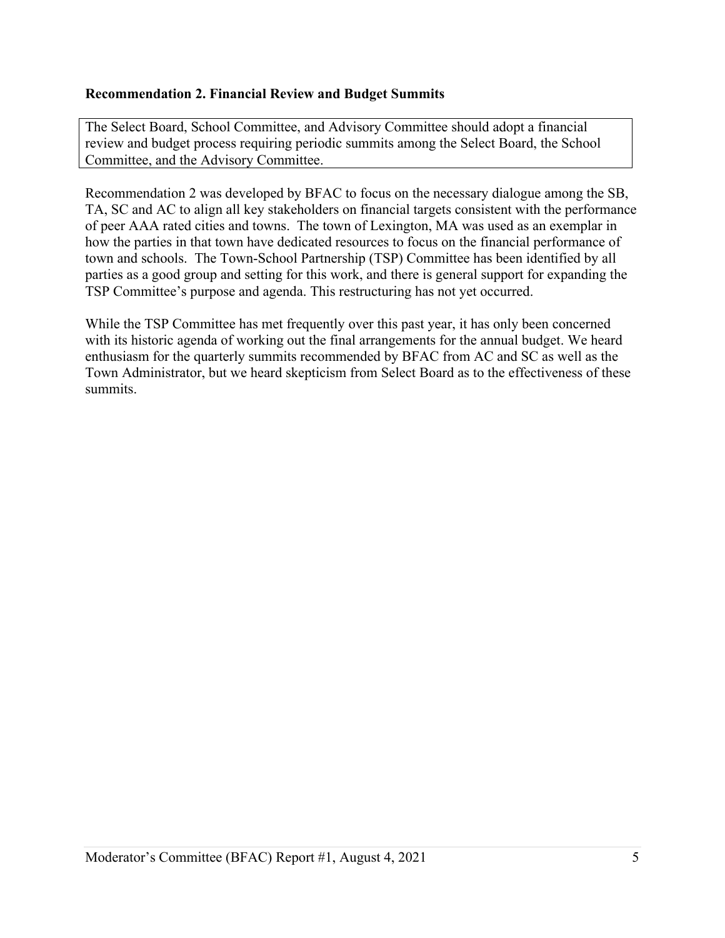## **Recommendation 2. Financial Review and Budget Summits**

The Select Board, School Committee, and Advisory Committee should adopt a financial review and budget process requiring periodic summits among the Select Board, the School Committee, and the Advisory Committee.

Recommendation 2 was developed by BFAC to focus on the necessary dialogue among the SB, TA, SC and AC to align all key stakeholders on financial targets consistent with the performance of peer AAA rated cities and towns. The town of Lexington, MA was used as an exemplar in how the parties in that town have dedicated resources to focus on the financial performance of town and schools. The Town-School Partnership (TSP) Committee has been identified by all parties as a good group and setting for this work, and there is general support for expanding the TSP Committee's purpose and agenda. This restructuring has not yet occurred.

While the TSP Committee has met frequently over this past year, it has only been concerned with its historic agenda of working out the final arrangements for the annual budget. We heard enthusiasm for the quarterly summits recommended by BFAC from AC and SC as well as the Town Administrator, but we heard skepticism from Select Board as to the effectiveness of these summits.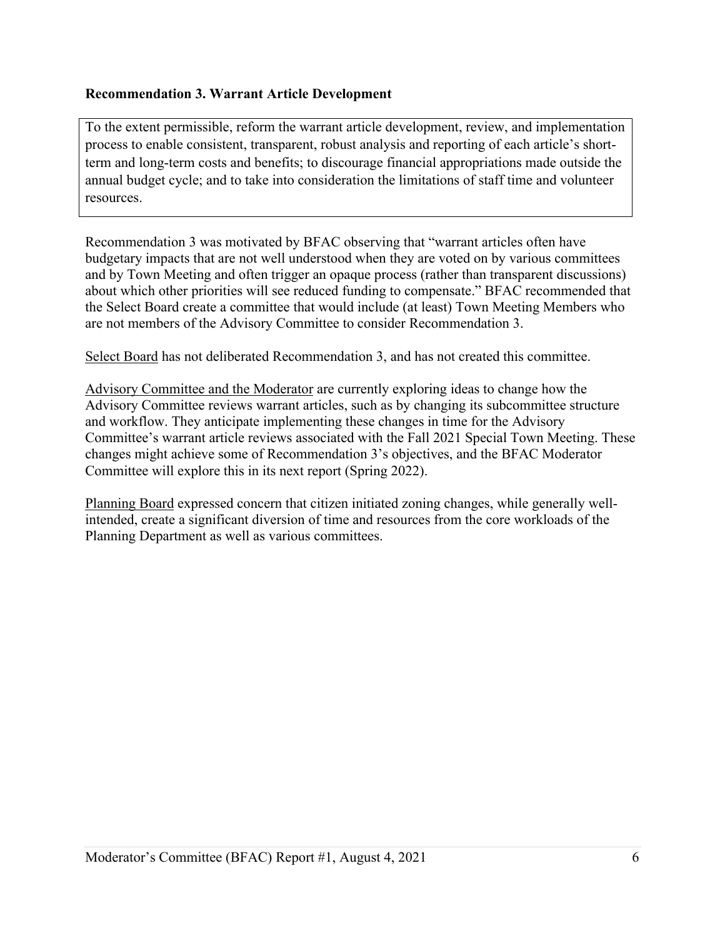## **Recommendation 3. Warrant Article Development**

To the extent permissible, reform the warrant article development, review, and implementation process to enable consistent, transparent, robust analysis and reporting of each article's shortterm and long-term costs and benefits; to discourage financial appropriations made outside the annual budget cycle; and to take into consideration the limitations of staff time and volunteer resources.

Recommendation 3 was motivated by BFAC observing that "warrant articles often have budgetary impacts that are not well understood when they are voted on by various committees and by Town Meeting and often trigger an opaque process (rather than transparent discussions) about which other priorities will see reduced funding to compensate." BFAC recommended that the Select Board create a committee that would include (at least) Town Meeting Members who are not members of the Advisory Committee to consider Recommendation 3.

Select Board has not deliberated Recommendation 3, and has not created this committee.

Advisory Committee and the Moderator are currently exploring ideas to change how the Advisory Committee reviews warrant articles, such as by changing its subcommittee structure and workflow. They anticipate implementing these changes in time for the Advisory Committee's warrant article reviews associated with the Fall 2021 Special Town Meeting. These changes might achieve some of Recommendation 3's objectives, and the BFAC Moderator Committee will explore this in its next report (Spring 2022).

Planning Board expressed concern that citizen initiated zoning changes, while generally wellintended, create a significant diversion of time and resources from the core workloads of the Planning Department as well as various committees.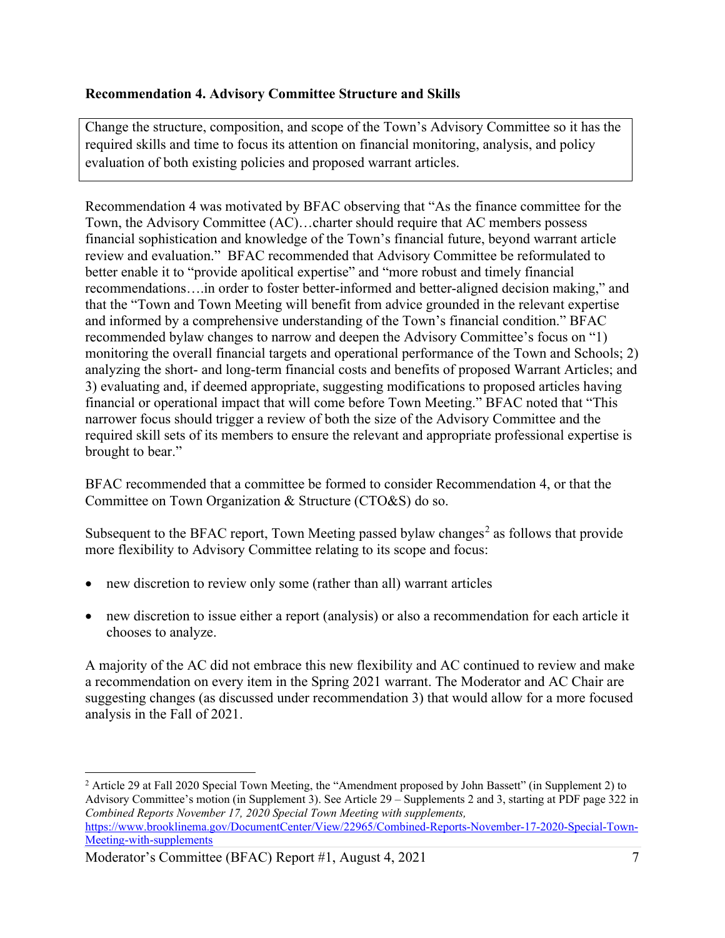## **Recommendation 4. Advisory Committee Structure and Skills**

Change the structure, composition, and scope of the Town's Advisory Committee so it has the required skills and time to focus its attention on financial monitoring, analysis, and policy evaluation of both existing policies and proposed warrant articles.

Recommendation 4 was motivated by BFAC observing that "As the finance committee for the Town, the Advisory Committee (AC)…charter should require that AC members possess financial sophistication and knowledge of the Town's financial future, beyond warrant article review and evaluation." BFAC recommended that Advisory Committee be reformulated to better enable it to "provide apolitical expertise" and "more robust and timely financial recommendations….in order to foster better-informed and better-aligned decision making," and that the "Town and Town Meeting will benefit from advice grounded in the relevant expertise and informed by a comprehensive understanding of the Town's financial condition." BFAC recommended bylaw changes to narrow and deepen the Advisory Committee's focus on "1) monitoring the overall financial targets and operational performance of the Town and Schools; 2) analyzing the short- and long-term financial costs and benefits of proposed Warrant Articles; and 3) evaluating and, if deemed appropriate, suggesting modifications to proposed articles having financial or operational impact that will come before Town Meeting." BFAC noted that "This narrower focus should trigger a review of both the size of the Advisory Committee and the required skill sets of its members to ensure the relevant and appropriate professional expertise is brought to bear."

BFAC recommended that a committee be formed to consider Recommendation 4, or that the Committee on Town Organization & Structure (CTO&S) do so.

Subsequent to the BFAC report, Town Meeting passed bylaw changes<sup>[2](#page-6-0)</sup> as follows that provide more flexibility to Advisory Committee relating to its scope and focus:

- new discretion to review only some (rather than all) warrant articles
- new discretion to issue either a report (analysis) or also a recommendation for each article it chooses to analyze.

A majority of the AC did not embrace this new flexibility and AC continued to review and make a recommendation on every item in the Spring 2021 warrant. The Moderator and AC Chair are suggesting changes (as discussed under recommendation 3) that would allow for a more focused analysis in the Fall of 2021.

Moderator's Committee (BFAC) Report #1, August 4, 2021

<span id="page-6-0"></span><sup>2</sup> Article 29 at Fall 2020 Special Town Meeting, the "Amendment proposed by John Bassett" (in Supplement 2) to Advisory Committee's motion (in Supplement 3). See Article 29 – Supplements 2 and 3, starting at PDF page 322 in *Combined Reports November 17, 2020 Special Town Meeting with supplements,* [https://www.brooklinema.gov/DocumentCenter/View/22965/Combined-Reports-November-17-2020-Special-Town-](https://www.brooklinema.gov/DocumentCenter/View/22965/Combined-Reports-November-17-2020-Special-Town-Meeting-with-supplements)[Meeting-with-supplements](https://www.brooklinema.gov/DocumentCenter/View/22965/Combined-Reports-November-17-2020-Special-Town-Meeting-with-supplements)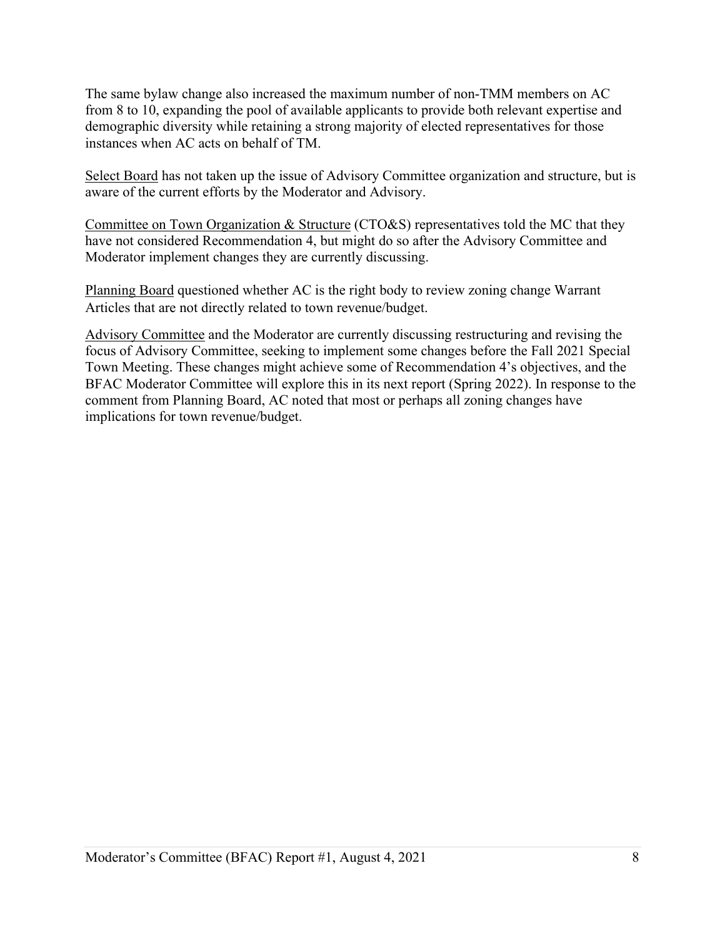The same bylaw change also increased the maximum number of non-TMM members on AC from 8 to 10, expanding the pool of available applicants to provide both relevant expertise and demographic diversity while retaining a strong majority of elected representatives for those instances when AC acts on behalf of TM.

Select Board has not taken up the issue of Advisory Committee organization and structure, but is aware of the current efforts by the Moderator and Advisory.

Committee on Town Organization & Structure (CTO&S) representatives told the MC that they have not considered Recommendation 4, but might do so after the Advisory Committee and Moderator implement changes they are currently discussing.

Planning Board questioned whether AC is the right body to review zoning change Warrant Articles that are not directly related to town revenue/budget.

Advisory Committee and the Moderator are currently discussing restructuring and revising the focus of Advisory Committee, seeking to implement some changes before the Fall 2021 Special Town Meeting. These changes might achieve some of Recommendation 4's objectives, and the BFAC Moderator Committee will explore this in its next report (Spring 2022). In response to the comment from Planning Board, AC noted that most or perhaps all zoning changes have implications for town revenue/budget.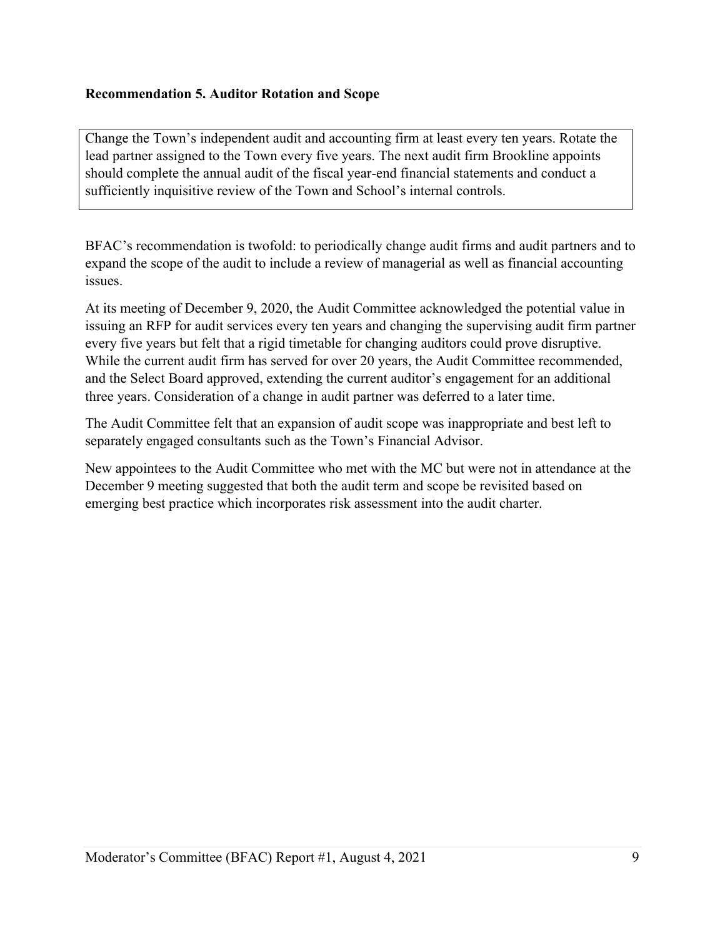## **Recommendation 5. Auditor Rotation and Scope**

Change the Town's independent audit and accounting firm at least every ten years. Rotate the lead partner assigned to the Town every five years. The next audit firm Brookline appoints should complete the annual audit of the fiscal year-end financial statements and conduct a sufficiently inquisitive review of the Town and School's internal controls.

BFAC's recommendation is twofold: to periodically change audit firms and audit partners and to expand the scope of the audit to include a review of managerial as well as financial accounting issues.

At its meeting of December 9, 2020, the Audit Committee acknowledged the potential value in issuing an RFP for audit services every ten years and changing the supervising audit firm partner every five years but felt that a rigid timetable for changing auditors could prove disruptive. While the current audit firm has served for over 20 years, the Audit Committee recommended, and the Select Board approved, extending the current auditor's engagement for an additional three years. Consideration of a change in audit partner was deferred to a later time.

The Audit Committee felt that an expansion of audit scope was inappropriate and best left to separately engaged consultants such as the Town's Financial Advisor.

New appointees to the Audit Committee who met with the MC but were not in attendance at the December 9 meeting suggested that both the audit term and scope be revisited based on emerging best practice which incorporates risk assessment into the audit charter.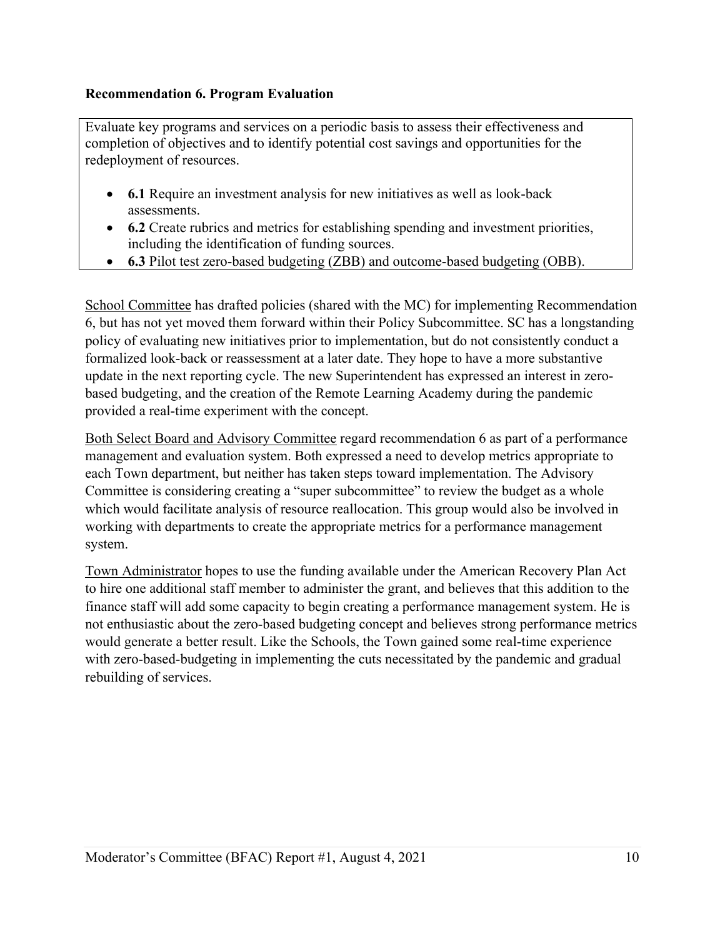## **Recommendation 6. Program Evaluation**

Evaluate key programs and services on a periodic basis to assess their effectiveness and completion of objectives and to identify potential cost savings and opportunities for the redeployment of resources.

- **6.1** Require an investment analysis for new initiatives as well as look-back assessments.
- **6.2** Create rubrics and metrics for establishing spending and investment priorities, including the identification of funding sources.
- **6.3** Pilot test zero-based budgeting (ZBB) and outcome-based budgeting (OBB).

School Committee has drafted policies (shared with the MC) for implementing Recommendation 6, but has not yet moved them forward within their Policy Subcommittee. SC has a longstanding policy of evaluating new initiatives prior to implementation, but do not consistently conduct a formalized look-back or reassessment at a later date. They hope to have a more substantive update in the next reporting cycle. The new Superintendent has expressed an interest in zerobased budgeting, and the creation of the Remote Learning Academy during the pandemic provided a real-time experiment with the concept.

Both Select Board and Advisory Committee regard recommendation 6 as part of a performance management and evaluation system. Both expressed a need to develop metrics appropriate to each Town department, but neither has taken steps toward implementation. The Advisory Committee is considering creating a "super subcommittee" to review the budget as a whole which would facilitate analysis of resource reallocation. This group would also be involved in working with departments to create the appropriate metrics for a performance management system.

Town Administrator hopes to use the funding available under the American Recovery Plan Act to hire one additional staff member to administer the grant, and believes that this addition to the finance staff will add some capacity to begin creating a performance management system. He is not enthusiastic about the zero-based budgeting concept and believes strong performance metrics would generate a better result. Like the Schools, the Town gained some real-time experience with zero-based-budgeting in implementing the cuts necessitated by the pandemic and gradual rebuilding of services.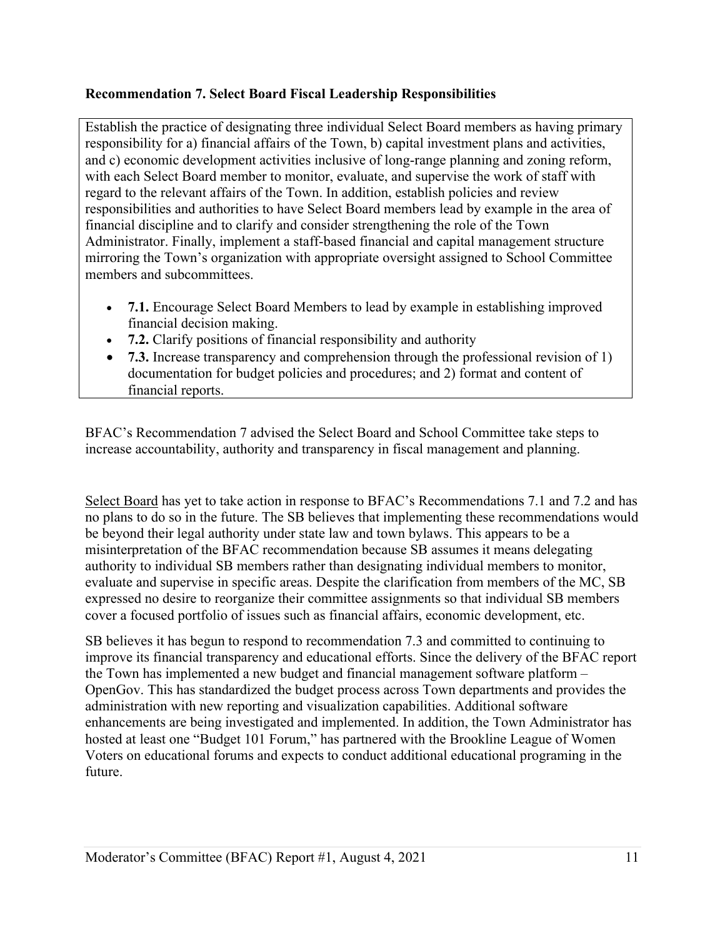# **Recommendation 7. Select Board Fiscal Leadership Responsibilities**

Establish the practice of designating three individual Select Board members as having primary responsibility for a) financial affairs of the Town, b) capital investment plans and activities, and c) economic development activities inclusive of long-range planning and zoning reform, with each Select Board member to monitor, evaluate, and supervise the work of staff with regard to the relevant affairs of the Town. In addition, establish policies and review responsibilities and authorities to have Select Board members lead by example in the area of financial discipline and to clarify and consider strengthening the role of the Town Administrator. Finally, implement a staff-based financial and capital management structure mirroring the Town's organization with appropriate oversight assigned to School Committee members and subcommittees.

- **7.1.** Encourage Select Board Members to lead by example in establishing improved financial decision making.
- **7.2.** Clarify positions of financial responsibility and authority
- **7.3.** Increase transparency and comprehension through the professional revision of 1) documentation for budget policies and procedures; and 2) format and content of financial reports.

BFAC's Recommendation 7 advised the Select Board and School Committee take steps to increase accountability, authority and transparency in fiscal management and planning.

Select Board has yet to take action in response to BFAC's Recommendations 7.1 and 7.2 and has no plans to do so in the future. The SB believes that implementing these recommendations would be beyond their legal authority under state law and town bylaws. This appears to be a misinterpretation of the BFAC recommendation because SB assumes it means delegating authority to individual SB members rather than designating individual members to monitor, evaluate and supervise in specific areas. Despite the clarification from members of the MC, SB expressed no desire to reorganize their committee assignments so that individual SB members cover a focused portfolio of issues such as financial affairs, economic development, etc.

SB believes it has begun to respond to recommendation 7.3 and committed to continuing to improve its financial transparency and educational efforts. Since the delivery of the BFAC report the Town has implemented a new budget and financial management software platform – OpenGov. This has standardized the budget process across Town departments and provides the administration with new reporting and visualization capabilities. Additional software enhancements are being investigated and implemented. In addition, the Town Administrator has hosted at least one "Budget 101 Forum," has partnered with the Brookline League of Women Voters on educational forums and expects to conduct additional educational programing in the future.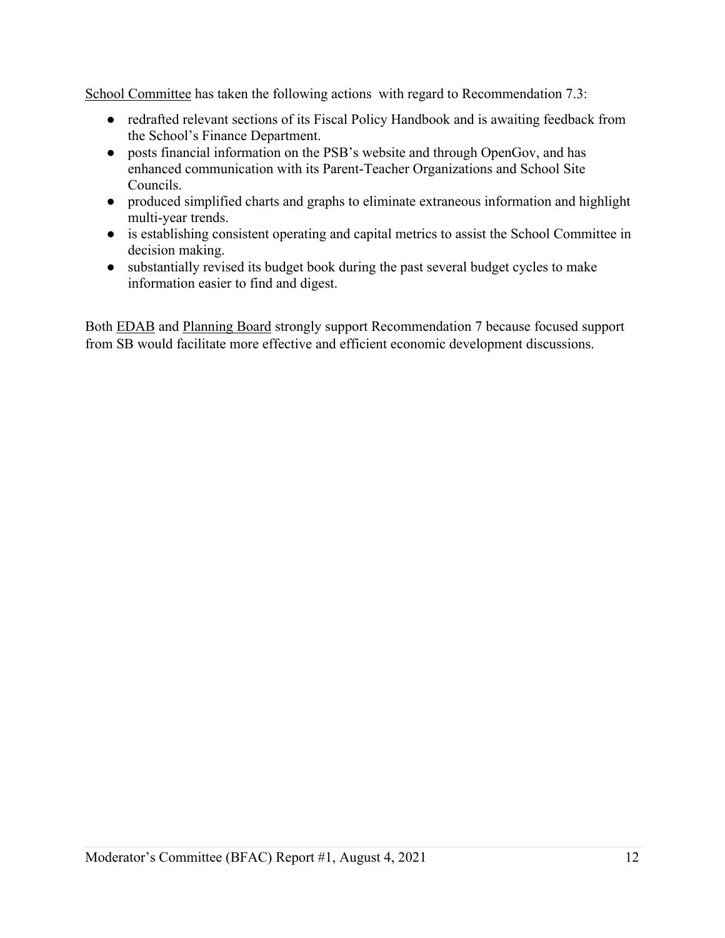School Committee has taken the following actions with regard to Recommendation 7.3:

- redrafted relevant sections of its Fiscal Policy Handbook and is awaiting feedback from the School's Finance Department.
- posts financial information on the PSB's website and through OpenGov, and has enhanced communication with its Parent-Teacher Organizations and School Site Councils.
- produced simplified charts and graphs to eliminate extraneous information and highlight multi-year trends.
- is establishing consistent operating and capital metrics to assist the School Committee in decision making.
- substantially revised its budget book during the past several budget cycles to make information easier to find and digest.

Both EDAB and Planning Board strongly support Recommendation 7 because focused support from SB would facilitate more effective and efficient economic development discussions.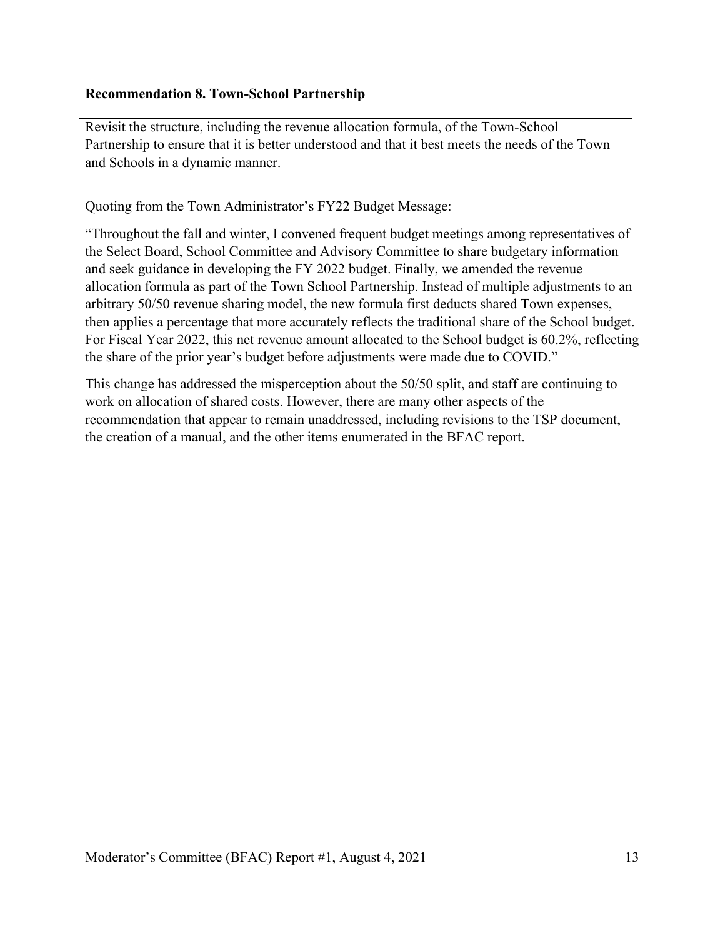## **Recommendation 8. Town-School Partnership**

Revisit the structure, including the revenue allocation formula, of the Town-School Partnership to ensure that it is better understood and that it best meets the needs of the Town and Schools in a dynamic manner.

Quoting from the Town Administrator's FY22 Budget Message:

"Throughout the fall and winter, I convened frequent budget meetings among representatives of the Select Board, School Committee and Advisory Committee to share budgetary information and seek guidance in developing the FY 2022 budget. Finally, we amended the revenue allocation formula as part of the Town School Partnership. Instead of multiple adjustments to an arbitrary 50/50 revenue sharing model, the new formula first deducts shared Town expenses, then applies a percentage that more accurately reflects the traditional share of the School budget. For Fiscal Year 2022, this net revenue amount allocated to the School budget is 60.2%, reflecting the share of the prior year's budget before adjustments were made due to COVID."

This change has addressed the misperception about the 50/50 split, and staff are continuing to work on allocation of shared costs. However, there are many other aspects of the recommendation that appear to remain unaddressed, including revisions to the TSP document, the creation of a manual, and the other items enumerated in the BFAC report.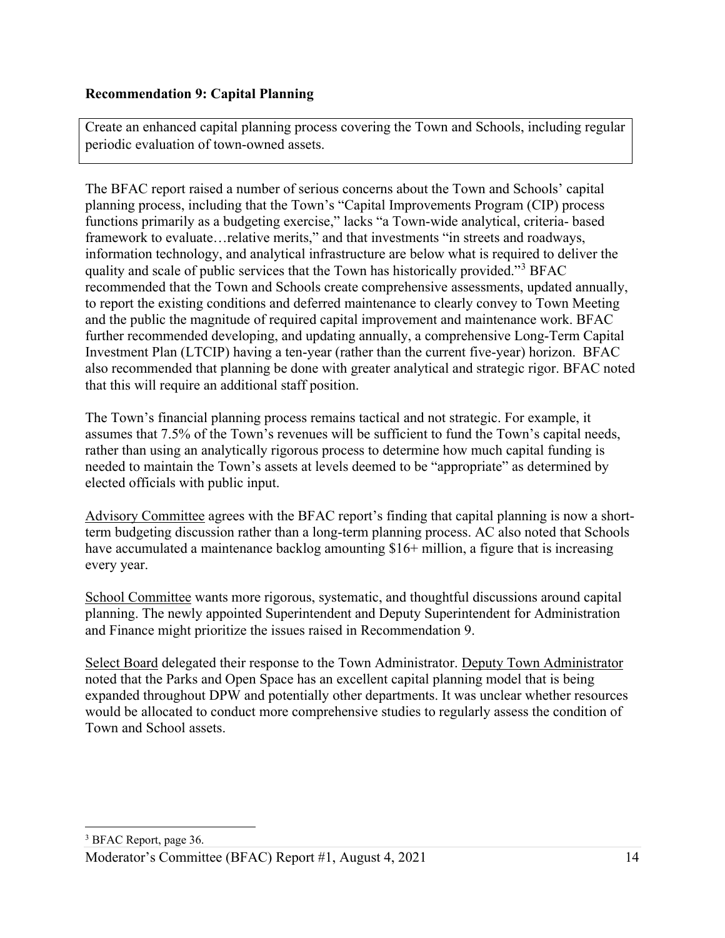## **Recommendation 9: Capital Planning**

Create an enhanced capital planning process covering the Town and Schools, including regular periodic evaluation of town-owned assets.

The BFAC report raised a number of serious concerns about the Town and Schools' capital planning process, including that the Town's "Capital Improvements Program (CIP) process functions primarily as a budgeting exercise," lacks "a Town-wide analytical, criteria- based framework to evaluate...relative merits," and that investments "in streets and roadways, information technology, and analytical infrastructure are below what is required to deliver the quality and scale of public services that the Town has historically provided."[3](#page-13-0) BFAC recommended that the Town and Schools create comprehensive assessments, updated annually, to report the existing conditions and deferred maintenance to clearly convey to Town Meeting and the public the magnitude of required capital improvement and maintenance work. BFAC further recommended developing, and updating annually, a comprehensive Long-Term Capital Investment Plan (LTCIP) having a ten-year (rather than the current five-year) horizon. BFAC also recommended that planning be done with greater analytical and strategic rigor. BFAC noted that this will require an additional staff position.

The Town's financial planning process remains tactical and not strategic. For example, it assumes that 7.5% of the Town's revenues will be sufficient to fund the Town's capital needs, rather than using an analytically rigorous process to determine how much capital funding is needed to maintain the Town's assets at levels deemed to be "appropriate" as determined by elected officials with public input.

Advisory Committee agrees with the BFAC report's finding that capital planning is now a shortterm budgeting discussion rather than a long-term planning process. AC also noted that Schools have accumulated a maintenance backlog amounting \$16+ million, a figure that is increasing every year.

School Committee wants more rigorous, systematic, and thoughtful discussions around capital planning. The newly appointed Superintendent and Deputy Superintendent for Administration and Finance might prioritize the issues raised in Recommendation 9.

<span id="page-13-0"></span>Select Board delegated their response to the Town Administrator. Deputy Town Administrator noted that the Parks and Open Space has an excellent capital planning model that is being expanded throughout DPW and potentially other departments. It was unclear whether resources would be allocated to conduct more comprehensive studies to regularly assess the condition of Town and School assets.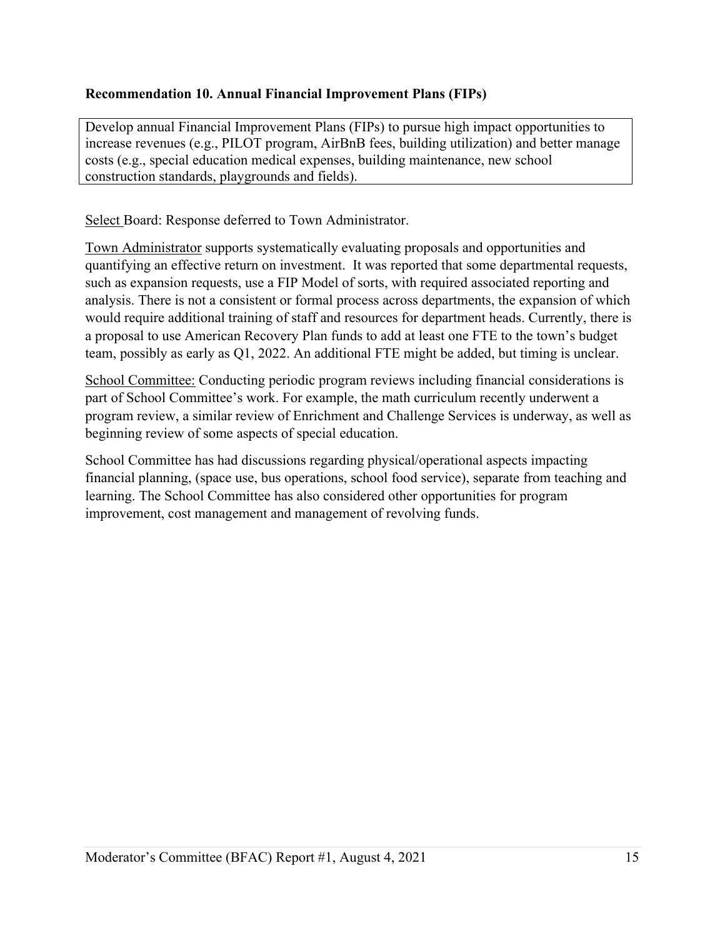# **Recommendation 10. Annual Financial Improvement Plans (FIPs)**

Develop annual Financial Improvement Plans (FIPs) to pursue high impact opportunities to increase revenues (e.g., PILOT program, AirBnB fees, building utilization) and better manage costs (e.g., special education medical expenses, building maintenance, new school construction standards, playgrounds and fields).

Select Board: Response deferred to Town Administrator.

Town Administrator supports systematically evaluating proposals and opportunities and quantifying an effective return on investment. It was reported that some departmental requests, such as expansion requests, use a FIP Model of sorts, with required associated reporting and analysis. There is not a consistent or formal process across departments, the expansion of which would require additional training of staff and resources for department heads. Currently, there is a proposal to use American Recovery Plan funds to add at least one FTE to the town's budget team, possibly as early as Q1, 2022. An additional FTE might be added, but timing is unclear.

School Committee: Conducting periodic program reviews including financial considerations is part of School Committee's work. For example, the math curriculum recently underwent a program review, a similar review of Enrichment and Challenge Services is underway, as well as beginning review of some aspects of special education.

School Committee has had discussions regarding physical/operational aspects impacting financial planning, (space use, bus operations, school food service), separate from teaching and learning. The School Committee has also considered other opportunities for program improvement, cost management and management of revolving funds.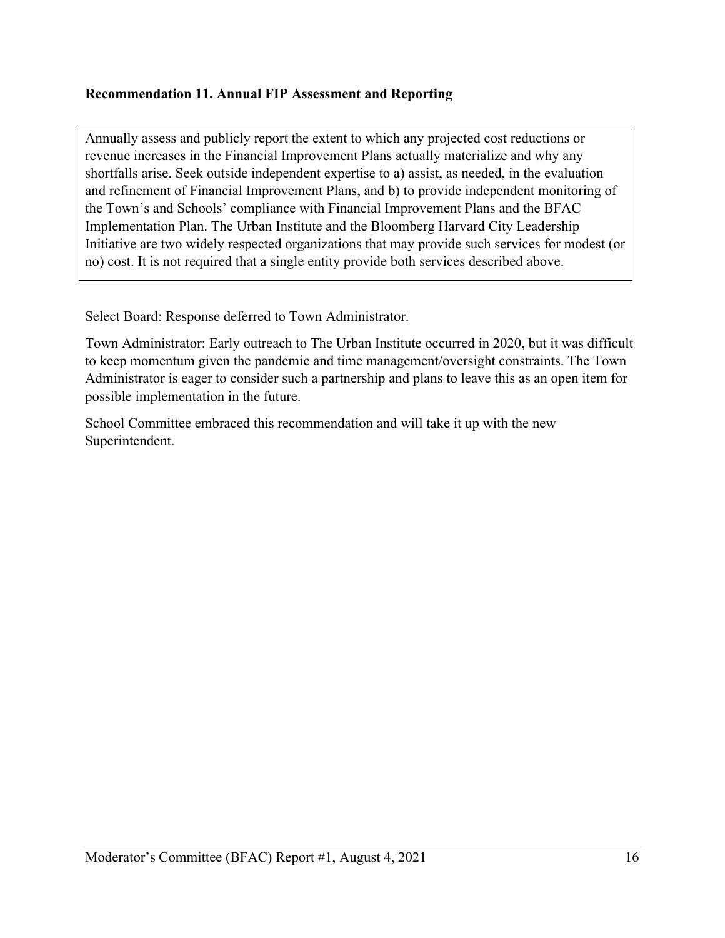## **Recommendation 11. Annual FIP Assessment and Reporting**

Annually assess and publicly report the extent to which any projected cost reductions or revenue increases in the Financial Improvement Plans actually materialize and why any shortfalls arise. Seek outside independent expertise to a) assist, as needed, in the evaluation and refinement of Financial Improvement Plans, and b) to provide independent monitoring of the Town's and Schools' compliance with Financial Improvement Plans and the BFAC Implementation Plan. The Urban Institute and the Bloomberg Harvard City Leadership Initiative are two widely respected organizations that may provide such services for modest (or no) cost. It is not required that a single entity provide both services described above.

Select Board: Response deferred to Town Administrator.

Town Administrator: Early outreach to The Urban Institute occurred in 2020, but it was difficult to keep momentum given the pandemic and time management/oversight constraints. The Town Administrator is eager to consider such a partnership and plans to leave this as an open item for possible implementation in the future.

School Committee embraced this recommendation and will take it up with the new Superintendent.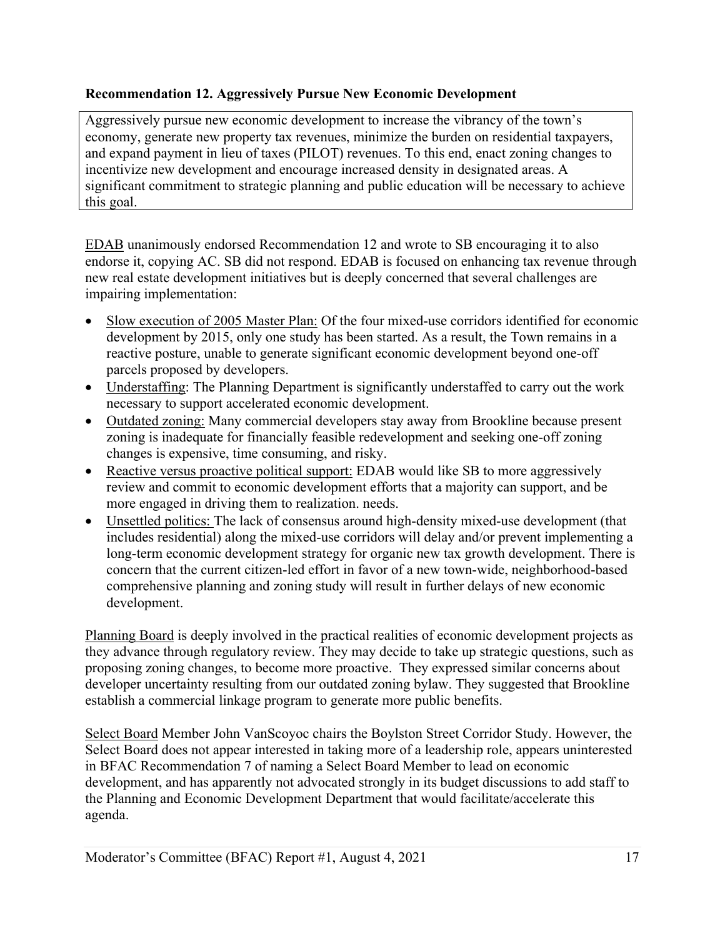## **Recommendation 12. Aggressively Pursue New Economic Development**

Aggressively pursue new economic development to increase the vibrancy of the town's economy, generate new property tax revenues, minimize the burden on residential taxpayers, and expand payment in lieu of taxes (PILOT) revenues. To this end, enact zoning changes to incentivize new development and encourage increased density in designated areas. A significant commitment to strategic planning and public education will be necessary to achieve this goal.

EDAB unanimously endorsed Recommendation 12 and wrote to SB encouraging it to also endorse it, copying AC. SB did not respond. EDAB is focused on enhancing tax revenue through new real estate development initiatives but is deeply concerned that several challenges are impairing implementation:

- Slow execution of 2005 Master Plan: Of the four mixed-use corridors identified for economic development by 2015, only one study has been started. As a result, the Town remains in a reactive posture, unable to generate significant economic development beyond one-off parcels proposed by developers.
- Understaffing: The Planning Department is significantly understaffed to carry out the work necessary to support accelerated economic development.
- Outdated zoning: Many commercial developers stay away from Brookline because present zoning is inadequate for financially feasible redevelopment and seeking one-off zoning changes is expensive, time consuming, and risky.
- Reactive versus proactive political support: EDAB would like SB to more aggressively review and commit to economic development efforts that a majority can support, and be more engaged in driving them to realization. needs.
- Unsettled politics: The lack of consensus around high-density mixed-use development (that includes residential) along the mixed-use corridors will delay and/or prevent implementing a long-term economic development strategy for organic new tax growth development. There is concern that the current citizen-led effort in favor of a new town-wide, neighborhood-based comprehensive planning and zoning study will result in further delays of new economic development.

Planning Board is deeply involved in the practical realities of economic development projects as they advance through regulatory review. They may decide to take up strategic questions, such as proposing zoning changes, to become more proactive. They expressed similar concerns about developer uncertainty resulting from our outdated zoning bylaw. They suggested that Brookline establish a commercial linkage program to generate more public benefits.

Select Board Member John VanScoyoc chairs the Boylston Street Corridor Study. However, the Select Board does not appear interested in taking more of a leadership role, appears uninterested in BFAC Recommendation 7 of naming a Select Board Member to lead on economic development, and has apparently not advocated strongly in its budget discussions to add staff to the Planning and Economic Development Department that would facilitate/accelerate this agenda.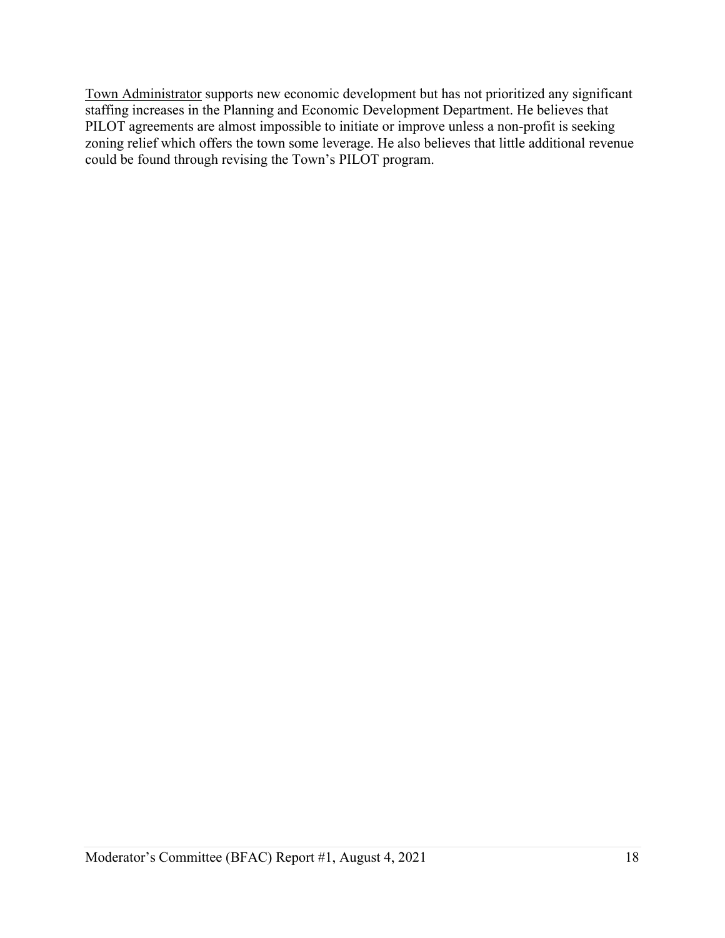Town Administrator supports new economic development but has not prioritized any significant staffing increases in the Planning and Economic Development Department. He believes that PILOT agreements are almost impossible to initiate or improve unless a non-profit is seeking zoning relief which offers the town some leverage. He also believes that little additional revenue could be found through revising the Town's PILOT program.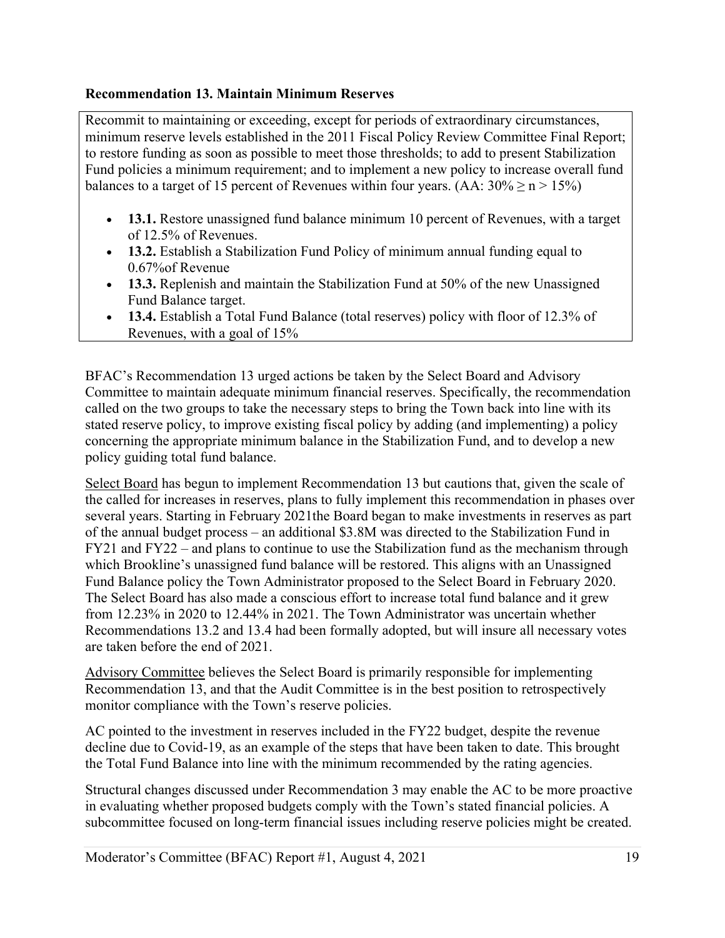## **Recommendation 13. Maintain Minimum Reserves**

Recommit to maintaining or exceeding, except for periods of extraordinary circumstances, minimum reserve levels established in the 2011 Fiscal Policy Review Committee Final Report; to restore funding as soon as possible to meet those thresholds; to add to present Stabilization Fund policies a minimum requirement; and to implement a new policy to increase overall fund balances to a target of 15 percent of Revenues within four years. (AA:  $30\% \ge n > 15\%$ )

- **13.1.** Restore unassigned fund balance minimum 10 percent of Revenues, with a target of 12.5% of Revenues.
- **13.2.** Establish a Stabilization Fund Policy of minimum annual funding equal to 0.67%of Revenue
- **13.3.** Replenish and maintain the Stabilization Fund at 50% of the new Unassigned Fund Balance target.
- **13.4.** Establish a Total Fund Balance (total reserves) policy with floor of 12.3% of Revenues, with a goal of 15%

BFAC's Recommendation 13 urged actions be taken by the Select Board and Advisory Committee to maintain adequate minimum financial reserves. Specifically, the recommendation called on the two groups to take the necessary steps to bring the Town back into line with its stated reserve policy, to improve existing fiscal policy by adding (and implementing) a policy concerning the appropriate minimum balance in the Stabilization Fund, and to develop a new policy guiding total fund balance.

Select Board has begun to implement Recommendation 13 but cautions that, given the scale of the called for increases in reserves, plans to fully implement this recommendation in phases over several years. Starting in February 2021the Board began to make investments in reserves as part of the annual budget process – an additional \$3.8M was directed to the Stabilization Fund in FY21 and FY22 – and plans to continue to use the Stabilization fund as the mechanism through which Brookline's unassigned fund balance will be restored. This aligns with an Unassigned Fund Balance policy the Town Administrator proposed to the Select Board in February 2020. The Select Board has also made a conscious effort to increase total fund balance and it grew from 12.23% in 2020 to 12.44% in 2021. The Town Administrator was uncertain whether Recommendations 13.2 and 13.4 had been formally adopted, but will insure all necessary votes are taken before the end of 2021.

Advisory Committee believes the Select Board is primarily responsible for implementing Recommendation 13, and that the Audit Committee is in the best position to retrospectively monitor compliance with the Town's reserve policies.

AC pointed to the investment in reserves included in the FY22 budget, despite the revenue decline due to Covid-19, as an example of the steps that have been taken to date. This brought the Total Fund Balance into line with the minimum recommended by the rating agencies.

Structural changes discussed under Recommendation 3 may enable the AC to be more proactive in evaluating whether proposed budgets comply with the Town's stated financial policies. A subcommittee focused on long-term financial issues including reserve policies might be created.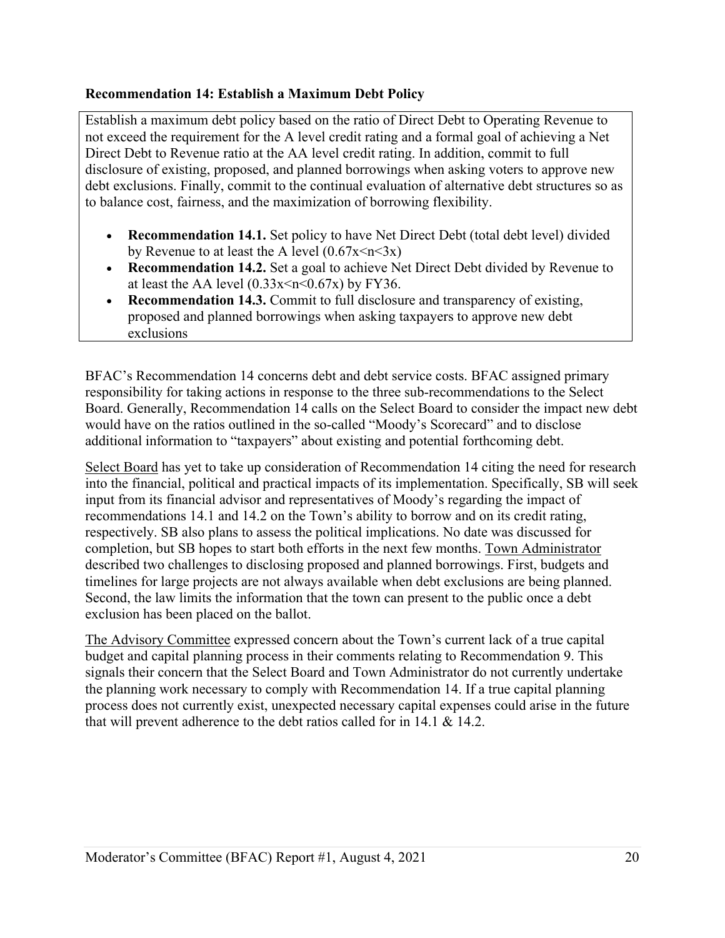### **Recommendation 14: Establish a Maximum Debt Policy**

Establish a maximum debt policy based on the ratio of Direct Debt to Operating Revenue to not exceed the requirement for the A level credit rating and a formal goal of achieving a Net Direct Debt to Revenue ratio at the AA level credit rating. In addition, commit to full disclosure of existing, proposed, and planned borrowings when asking voters to approve new debt exclusions. Finally, commit to the continual evaluation of alternative debt structures so as to balance cost, fairness, and the maximization of borrowing flexibility.

- **Recommendation 14.1.** Set policy to have Net Direct Debt (total debt level) divided by Revenue to at least the A level  $(0.67x \le n \le 3x)$
- **Recommendation 14.2.** Set a goal to achieve Net Direct Debt divided by Revenue to at least the AA level  $(0.33x \le n \le 0.67x)$  by FY36.
- **Recommendation 14.3.** Commit to full disclosure and transparency of existing, proposed and planned borrowings when asking taxpayers to approve new debt exclusions

BFAC's Recommendation 14 concerns debt and debt service costs. BFAC assigned primary responsibility for taking actions in response to the three sub-recommendations to the Select Board. Generally, Recommendation 14 calls on the Select Board to consider the impact new debt would have on the ratios outlined in the so-called "Moody's Scorecard" and to disclose additional information to "taxpayers" about existing and potential forthcoming debt.

Select Board has yet to take up consideration of Recommendation 14 citing the need for research into the financial, political and practical impacts of its implementation. Specifically, SB will seek input from its financial advisor and representatives of Moody's regarding the impact of recommendations 14.1 and 14.2 on the Town's ability to borrow and on its credit rating, respectively. SB also plans to assess the political implications. No date was discussed for completion, but SB hopes to start both efforts in the next few months. Town Administrator described two challenges to disclosing proposed and planned borrowings. First, budgets and timelines for large projects are not always available when debt exclusions are being planned. Second, the law limits the information that the town can present to the public once a debt exclusion has been placed on the ballot.

The Advisory Committee expressed concern about the Town's current lack of a true capital budget and capital planning process in their comments relating to Recommendation 9. This signals their concern that the Select Board and Town Administrator do not currently undertake the planning work necessary to comply with Recommendation 14. If a true capital planning process does not currently exist, unexpected necessary capital expenses could arise in the future that will prevent adherence to the debt ratios called for in 14.1 & 14.2.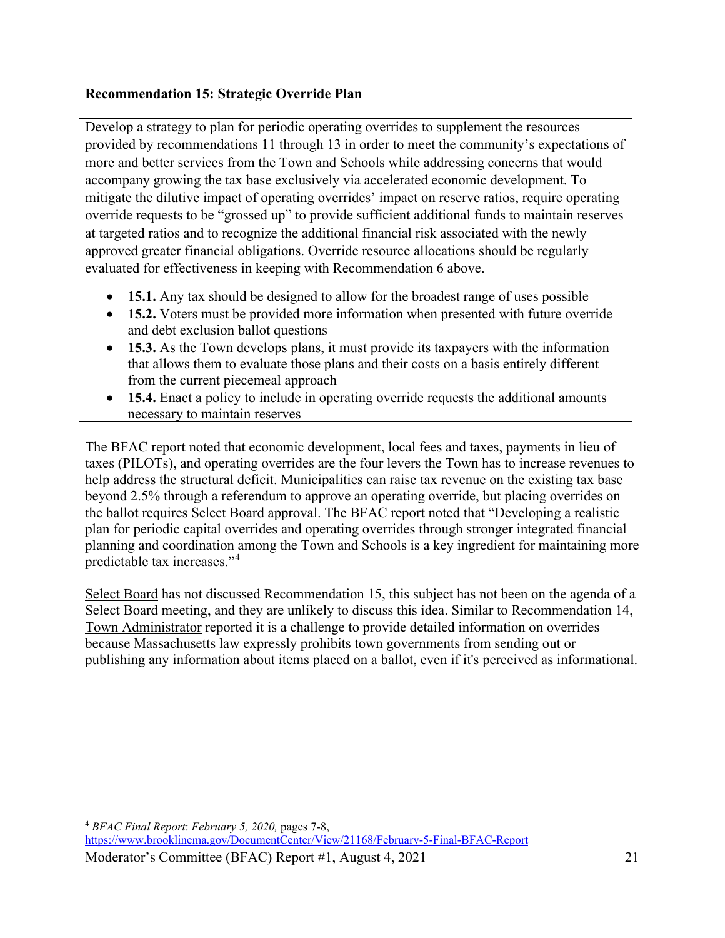# **Recommendation 15: Strategic Override Plan**

Develop a strategy to plan for periodic operating overrides to supplement the resources provided by recommendations 11 through 13 in order to meet the community's expectations of more and better services from the Town and Schools while addressing concerns that would accompany growing the tax base exclusively via accelerated economic development. To mitigate the dilutive impact of operating overrides' impact on reserve ratios, require operating override requests to be "grossed up" to provide sufficient additional funds to maintain reserves at targeted ratios and to recognize the additional financial risk associated with the newly approved greater financial obligations. Override resource allocations should be regularly evaluated for effectiveness in keeping with Recommendation 6 above.

- **15.1.** Any tax should be designed to allow for the broadest range of uses possible
- **15.2.** Voters must be provided more information when presented with future override and debt exclusion ballot questions
- **15.3.** As the Town develops plans, it must provide its taxpayers with the information that allows them to evaluate those plans and their costs on a basis entirely different from the current piecemeal approach
- **15.4.** Enact a policy to include in operating override requests the additional amounts necessary to maintain reserves

The BFAC report noted that economic development, local fees and taxes, payments in lieu of taxes (PILOTs), and operating overrides are the four levers the Town has to increase revenues to help address the structural deficit. Municipalities can raise tax revenue on the existing tax base beyond 2.5% through a referendum to approve an operating override, but placing overrides on the ballot requires Select Board approval. The BFAC report noted that "Developing a realistic plan for periodic capital overrides and operating overrides through stronger integrated financial planning and coordination among the Town and Schools is a key ingredient for maintaining more predictable tax increases."[4](#page-20-0)

Select Board has not discussed Recommendation 15, this subject has not been on the agenda of a Select Board meeting, and they are unlikely to discuss this idea. Similar to Recommendation 14, Town Administrator reported it is a challenge to provide detailed information on overrides because Massachusetts law expressly prohibits town governments from sending out or publishing any information about items placed on a ballot, even if it's perceived as informational.

<span id="page-20-0"></span><sup>4</sup> *BFAC Final Report*: *February 5, 2020,* pages 7-8,

Moderator's Committee (BFAC) Report #1, August 4, 2021 <https://www.brooklinema.gov/DocumentCenter/View/21168/February-5-Final-BFAC-Report>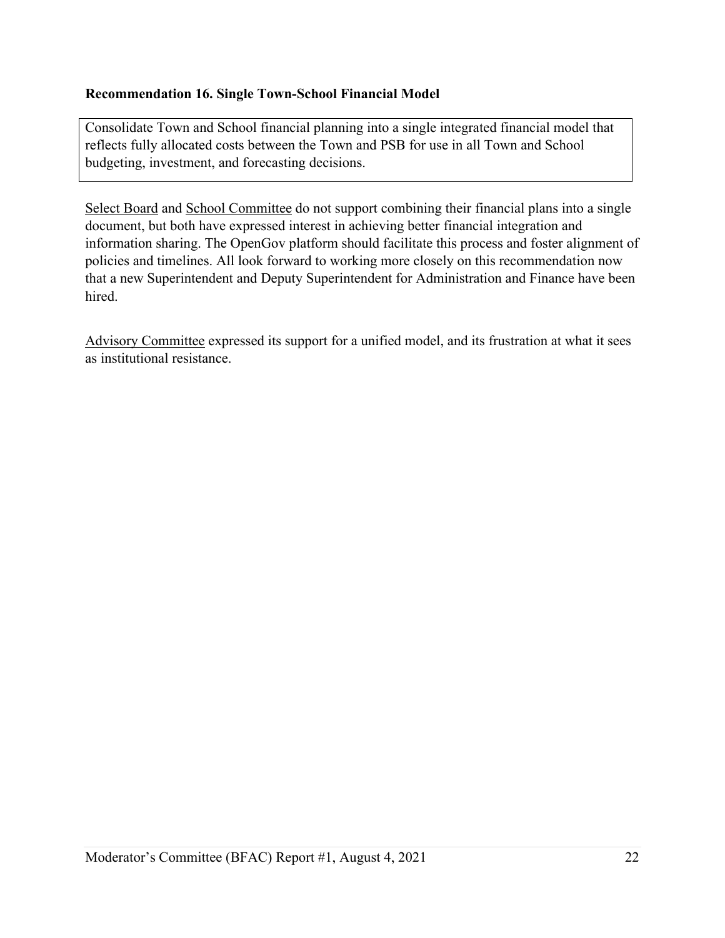## **Recommendation 16. Single Town-School Financial Model**

Consolidate Town and School financial planning into a single integrated financial model that reflects fully allocated costs between the Town and PSB for use in all Town and School budgeting, investment, and forecasting decisions.

Select Board and School Committee do not support combining their financial plans into a single document, but both have expressed interest in achieving better financial integration and information sharing. The OpenGov platform should facilitate this process and foster alignment of policies and timelines. All look forward to working more closely on this recommendation now that a new Superintendent and Deputy Superintendent for Administration and Finance have been hired.

Advisory Committee expressed its support for a unified model, and its frustration at what it sees as institutional resistance.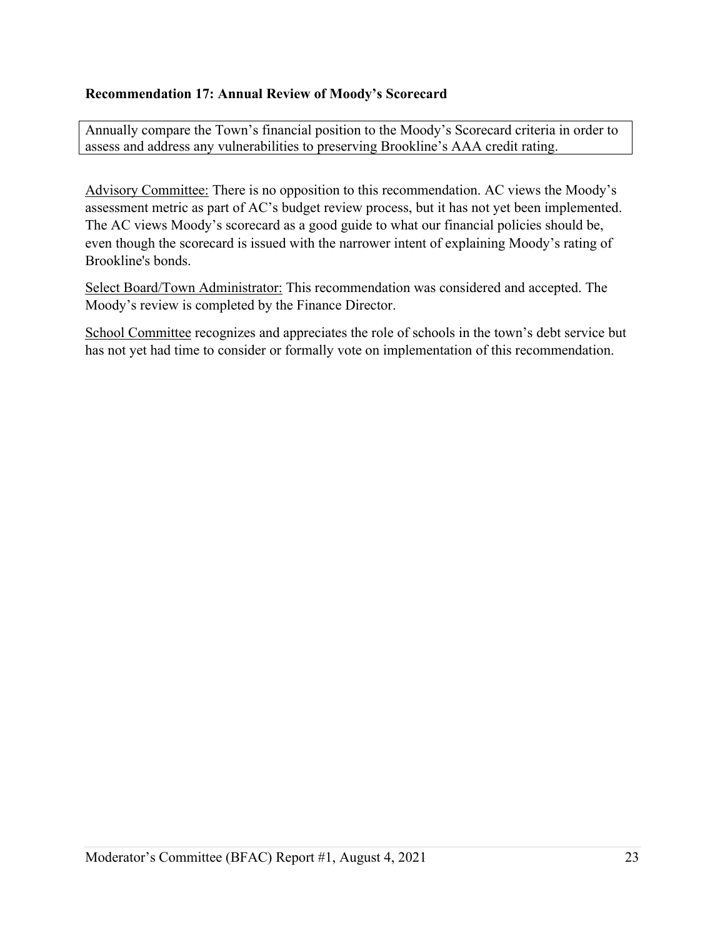## **Recommendation 17: Annual Review of Moody's Scorecard**

Annually compare the Town's financial position to the Moody's Scorecard criteria in order to assess and address any vulnerabilities to preserving Brookline's AAA credit rating.

Advisory Committee: There is no opposition to this recommendation. AC views the Moody's assessment metric as part of AC's budget review process, but it has not yet been implemented. The AC views Moody's scorecard as a good guide to what our financial policies should be, even though the scorecard is issued with the narrower intent of explaining Moody's rating of Brookline's bonds.

Select Board/Town Administrator: This recommendation was considered and accepted. The Moody's review is completed by the Finance Director.

School Committee recognizes and appreciates the role of schools in the town's debt service but has not yet had time to consider or formally vote on implementation of this recommendation.